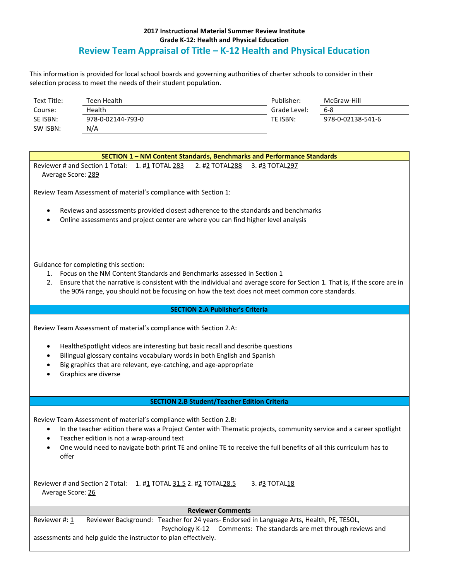## **2017 Instructional Material Summer Review Institute Grade K-12: Health and Physical Education Review Team Appraisal of Title – K-12 Health and Physical Education**

This information is provided for local school boards and governing authorities of charter schools to consider in their selection process to meet the needs of their student population.

| Text Title: | Teen Health       | Publisher:   | McGraw-Hill       |
|-------------|-------------------|--------------|-------------------|
| Course:     | Health            | Grade Level: | 6-8               |
| SE ISBN:    | 978-0-02144-793-0 | TE ISBN:     | 978-0-02138-541-6 |
| SW ISBN:    | N/A               |              |                   |

| SECTION 1 - NM Content Standards, Benchmarks and Performance Standards                                                                                                                                                                                                                                                                                                                                    |  |  |
|-----------------------------------------------------------------------------------------------------------------------------------------------------------------------------------------------------------------------------------------------------------------------------------------------------------------------------------------------------------------------------------------------------------|--|--|
| Reviewer # and Section 1 Total:<br>1. #1 TOTAL 283<br>2. #2 TOTAL288<br>3. #3 TOTAL297<br>Average Score: 289                                                                                                                                                                                                                                                                                              |  |  |
| Review Team Assessment of material's compliance with Section 1:                                                                                                                                                                                                                                                                                                                                           |  |  |
| Reviews and assessments provided closest adherence to the standards and benchmarks<br>٠<br>Online assessments and project center are where you can find higher level analysis<br>$\bullet$                                                                                                                                                                                                                |  |  |
| Guidance for completing this section:                                                                                                                                                                                                                                                                                                                                                                     |  |  |
| Focus on the NM Content Standards and Benchmarks assessed in Section 1<br>1.<br>Ensure that the narrative is consistent with the individual and average score for Section 1. That is, if the score are in<br>2.<br>the 90% range, you should not be focusing on how the text does not meet common core standards.                                                                                         |  |  |
| <b>SECTION 2.A Publisher's Criteria</b>                                                                                                                                                                                                                                                                                                                                                                   |  |  |
| Review Team Assessment of material's compliance with Section 2.A:<br>Healthe Spotlight videos are interesting but basic recall and describe questions<br>٠<br>Bilingual glossary contains vocabulary words in both English and Spanish<br>٠<br>Big graphics that are relevant, eye-catching, and age-appropriate<br>Graphics are diverse                                                                  |  |  |
| <b>SECTION 2.B Student/Teacher Edition Criteria</b>                                                                                                                                                                                                                                                                                                                                                       |  |  |
| Review Team Assessment of material's compliance with Section 2.B:<br>In the teacher edition there was a Project Center with Thematic projects, community service and a career spotlight<br>$\bullet$<br>Teacher edition is not a wrap-around text<br>$\bullet$<br>One would need to navigate both print TE and online TE to receive the full benefits of all this curriculum has to<br>$\bullet$<br>offer |  |  |
| Reviewer # and Section 2 Total: 1. #1 TOTAL 31.5 2. #2 TOTAL 28.5<br>3. #3 TOTAL18<br>Average Score: 26                                                                                                                                                                                                                                                                                                   |  |  |
| <b>Reviewer Comments</b>                                                                                                                                                                                                                                                                                                                                                                                  |  |  |
| Reviewer Background: Teacher for 24 years- Endorsed in Language Arts, Health, PE, TESOL,<br>Reviewer #: 1<br>Psychology K-12<br>Comments: The standards are met through reviews and<br>assessments and help guide the instructor to plan effectively.                                                                                                                                                     |  |  |